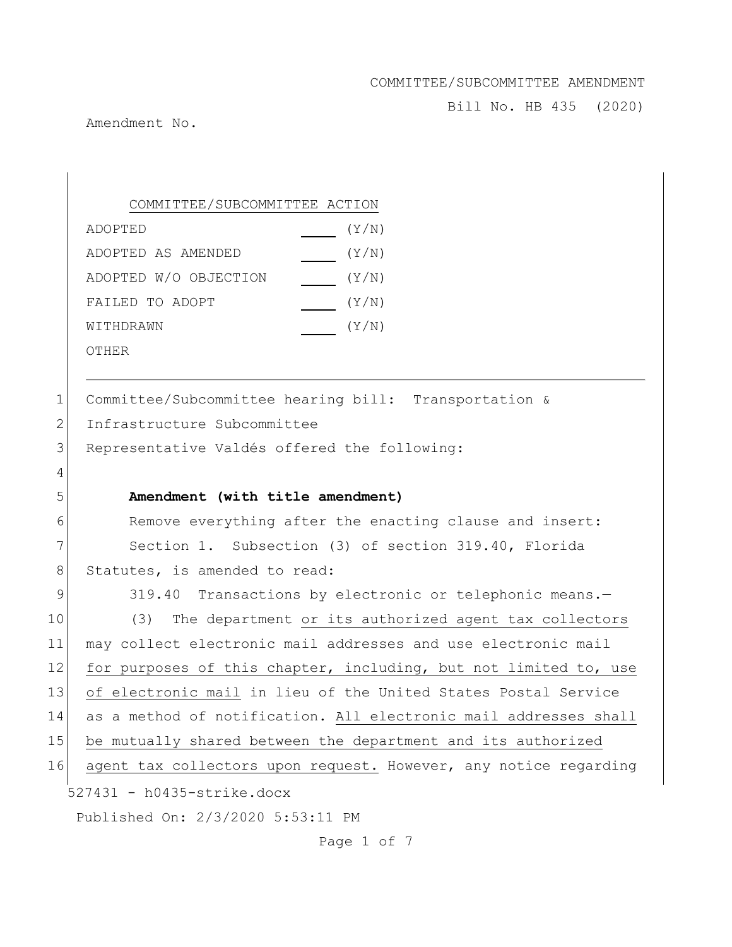Bill No. HB 435 (2020)

Amendment No.

COMMITTEE/SUBCOMMITTEE ACTION ADOPTED(Y/N) ADOPTED AS AMENDED(Y/N) ADOPTED W/O OBJECTION (Y/N) FAILED TO ADOPT  $(Y/N)$ WITHDRAWN  $\qquad \qquad \qquad (Y/N)$ 

OTHER

| 1 <sup>1</sup> | Committee/Subcommittee hearing bill: Transportation &   |
|----------------|---------------------------------------------------------|
| 2 <sup>1</sup> | Infrastructure Subcommittee                             |
| 3 <sup>1</sup> | Representative Valdés offered the following:            |
| $\overline{4}$ |                                                         |
| 5              | Amendment (with title amendment)                        |
| 6              | Remove everything after the enacting clause and insert: |

7 Section 1. Subsection (3) of section 319.40, Florida 8 Statutes, is amended to read:

 $527431 - h0435 - strike.docx$ Published On: 2/3/2020 5:53:11 PM 9 319.40 Transactions by electronic or telephonic means.-10 (3) The department or its authorized agent tax collectors 11 may collect electronic mail addresses and use electronic mail 12 for purposes of this chapter, including, but not limited to, use 13 of electronic mail in lieu of the United States Postal Service 14 as a method of notification. All electronic mail addresses shall 15 be mutually shared between the department and its authorized 16 agent tax collectors upon request. However, any notice regarding

Page 1 of 7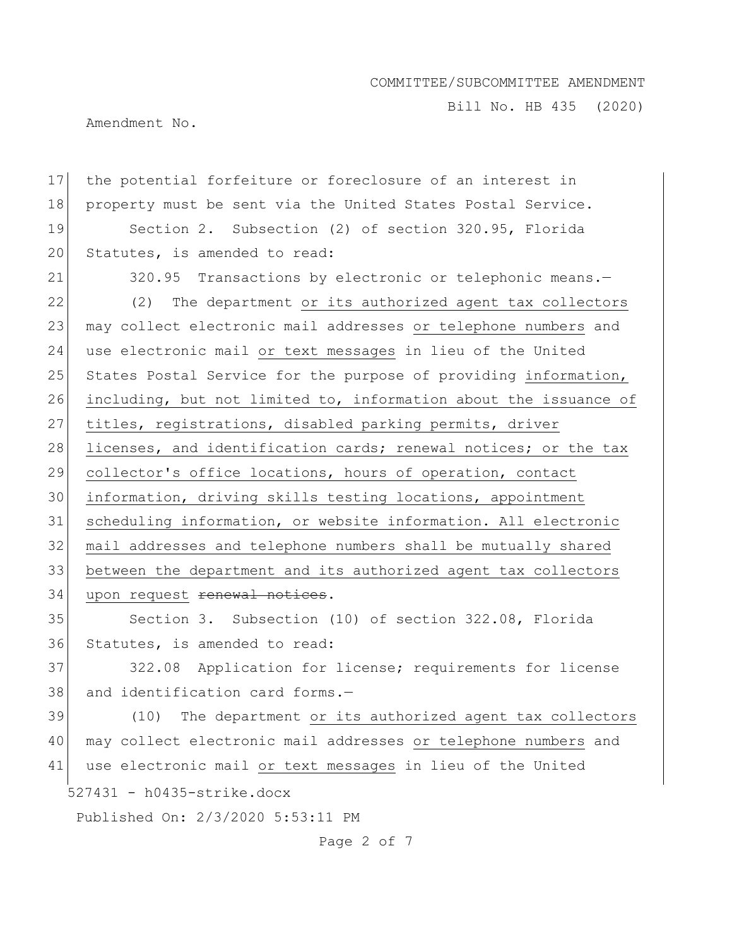Bill No. HB 435 (2020)

Amendment No.

527431 - h0435-strike.docx Published On: 2/3/2020 5:53:11 PM 17 the potential forfeiture or foreclosure of an interest in 18 property must be sent via the United States Postal Service. 19 Section 2. Subsection (2) of section 320.95, Florida 20 Statutes, is amended to read: 21 320.95 Transactions by electronic or telephonic means.-22 (2) The department or its authorized agent tax collectors 23 may collect electronic mail addresses or telephone numbers and 24 use electronic mail or text messages in lieu of the United 25 States Postal Service for the purpose of providing information, 26 including, but not limited to, information about the issuance of 27 titles, registrations, disabled parking permits, driver 28 licenses, and identification cards; renewal notices; or the tax 29 collector's office locations, hours of operation, contact 30 information, driving skills testing locations, appointment 31 scheduling information, or website information. All electronic 32 mail addresses and telephone numbers shall be mutually shared 33 between the department and its authorized agent tax collectors 34 upon request renewal notices. 35 Section 3. Subsection (10) of section 322.08, Florida 36 Statutes, is amended to read: 37 322.08 Application for license; requirements for license 38 and identification card forms.-39 (10) The department or its authorized agent tax collectors 40 may collect electronic mail addresses or telephone numbers and 41 use electronic mail or text messages in lieu of the United

Page 2 of 7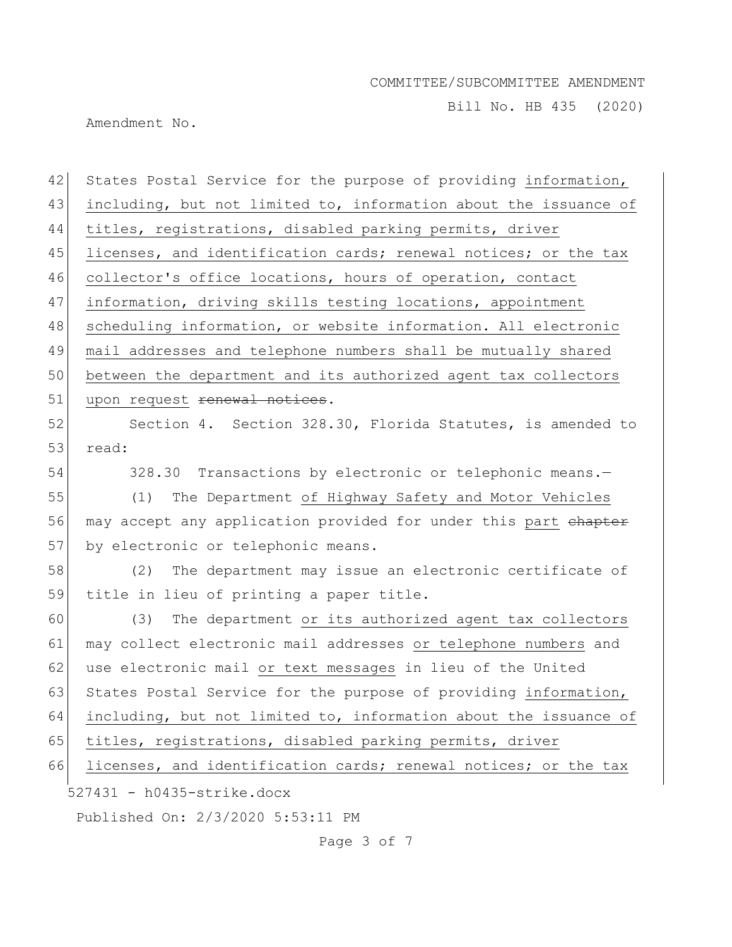Bill No. HB 435 (2020)

Amendment No.

| 42 | States Postal Service for the purpose of providing information,  |
|----|------------------------------------------------------------------|
| 43 | including, but not limited to, information about the issuance of |
| 44 | titles, registrations, disabled parking permits, driver          |
| 45 | licenses, and identification cards; renewal notices; or the tax  |
| 46 | collector's office locations, hours of operation, contact        |
| 47 | information, driving skills testing locations, appointment       |
| 48 | scheduling information, or website information. All electronic   |
| 49 | mail addresses and telephone numbers shall be mutually shared    |
| 50 | between the department and its authorized agent tax collectors   |
| 51 | upon request renewal notices.                                    |
| 52 | Section 4. Section 328.30, Florida Statutes, is amended to       |
| 53 | read:                                                            |
| 54 | 328.30 Transactions by electronic or telephonic means.-          |
| 55 | (1) The Department of Highway Safety and Motor Vehicles          |
| 56 | may accept any application provided for under this part chapter  |
| 57 | by electronic or telephonic means.                               |
| 58 | (2) The department may issue an electronic certificate of        |
| 59 | title in lieu of printing a paper title.                         |
| 60 | (3)<br>The department or its authorized agent tax collectors     |
| 61 | may collect electronic mail addresses or telephone numbers and   |
| 62 | use electronic mail or text messages in lieu of the United       |
| 63 | States Postal Service for the purpose of providing information,  |
| 64 | including, but not limited to, information about the issuance of |
| 65 | titles, registrations, disabled parking permits, driver          |
| 66 | licenses, and identification cards; renewal notices; or the tax  |
|    | 527431 - h0435-strike.docx                                       |
|    | Published On: 2/3/2020 5:53:11 PM                                |
|    |                                                                  |

Page 3 of 7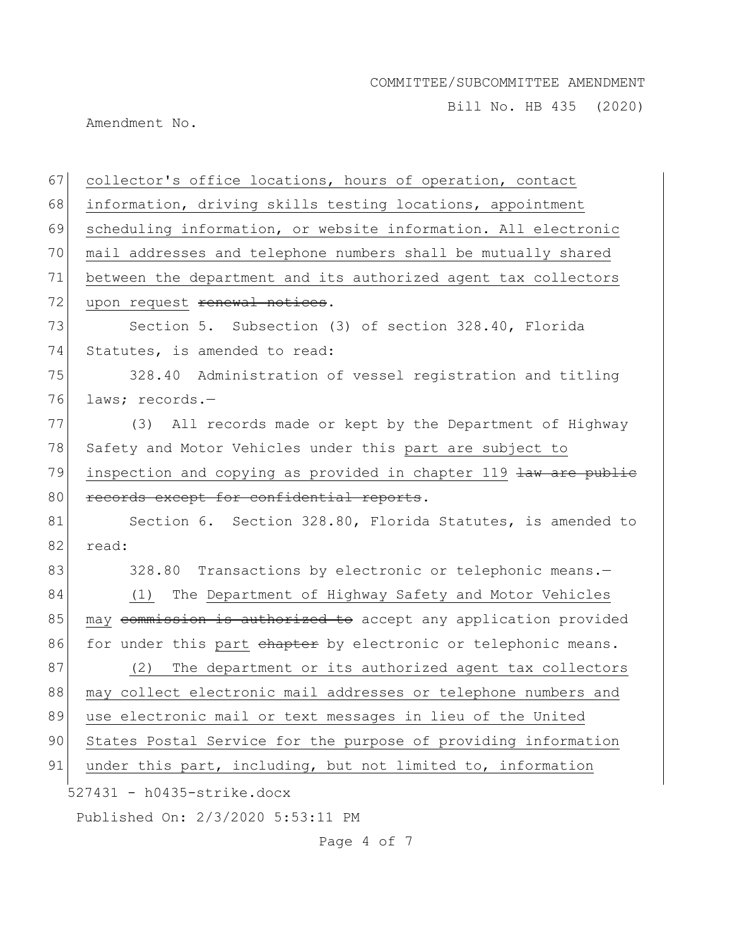Bill No. HB 435 (2020)

Amendment No.

| 67 | collector's office locations, hours of operation, contact        |
|----|------------------------------------------------------------------|
| 68 | information, driving skills testing locations, appointment       |
| 69 | scheduling information, or website information. All electronic   |
| 70 | mail addresses and telephone numbers shall be mutually shared    |
| 71 | between the department and its authorized agent tax collectors   |
| 72 | upon request renewal notices.                                    |
| 73 | Section 5. Subsection (3) of section 328.40, Florida             |
| 74 | Statutes, is amended to read:                                    |
| 75 | 328.40 Administration of vessel registration and titling         |
| 76 | laws; records.-                                                  |
| 77 | (3) All records made or kept by the Department of Highway        |
| 78 | Safety and Motor Vehicles under this part are subject to         |
| 79 | inspection and copying as provided in chapter 119 law are publie |
| 80 | records except for confidential reports.                         |
| 81 | Section 6. Section 328.80, Florida Statutes, is amended to       |
| 82 | read:                                                            |
| 83 | 328.80 Transactions by electronic or telephonic means.-          |
| 84 | The Department of Highway Safety and Motor Vehicles<br>(1)       |
| 85 | may commission is authorized to accept any application provided  |
| 86 | for under this part chapter by electronic or telephonic means.   |
| 87 | The department or its authorized agent tax collectors<br>(2)     |
| 88 | may collect electronic mail addresses or telephone numbers and   |
| 89 | use electronic mail or text messages in lieu of the United       |
| 90 | States Postal Service for the purpose of providing information   |
| 91 | under this part, including, but not limited to, information      |
|    | $527431 - h0435 - strike.docx$                                   |
|    | Published On: 2/3/2020 5:53:11 PM                                |

Page 4 of 7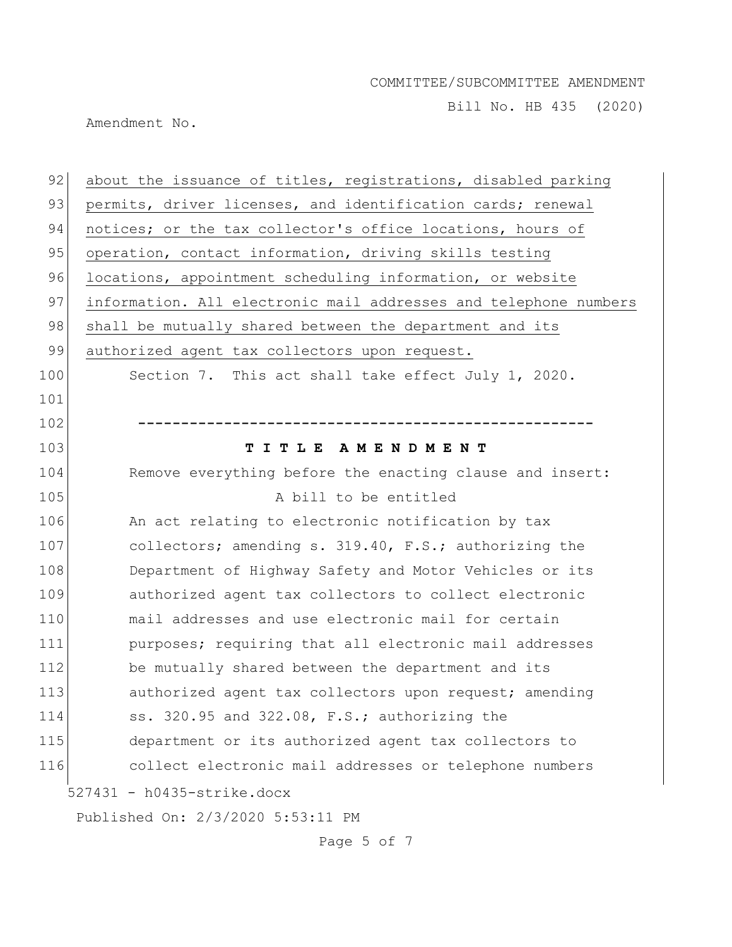Bill No. HB 435 (2020)

Amendment No.

| 92  | about the issuance of titles, registrations, disabled parking    |
|-----|------------------------------------------------------------------|
| 93  | permits, driver licenses, and identification cards; renewal      |
| 94  | notices; or the tax collector's office locations, hours of       |
| 95  | operation, contact information, driving skills testing           |
| 96  | locations, appointment scheduling information, or website        |
| 97  | information. All electronic mail addresses and telephone numbers |
| 98  | shall be mutually shared between the department and its          |
| 99  | authorized agent tax collectors upon request.                    |
| 100 | Section 7. This act shall take effect July 1, 2020.              |
| 101 |                                                                  |
| 102 |                                                                  |
| 103 | TITLE AMENDMENT                                                  |
| 104 | Remove everything before the enacting clause and insert:         |
| 105 | A bill to be entitled                                            |
| 106 | An act relating to electronic notification by tax                |
| 107 | collectors; amending s. 319.40, F.S.; authorizing the            |
| 108 | Department of Highway Safety and Motor Vehicles or its           |
| 109 | authorized agent tax collectors to collect electronic            |
| 110 | mail addresses and use electronic mail for certain               |
| 111 | purposes; requiring that all electronic mail addresses           |
| 112 | be mutually shared between the department and its                |
| 113 | authorized agent tax collectors upon request; amending           |
| 114 | ss. 320.95 and 322.08, F.S.; authorizing the                     |
| 115 | department or its authorized agent tax collectors to             |
| 116 | collect electronic mail addresses or telephone numbers           |
|     | 527431 - h0435-strike.docx                                       |
|     | Published On: 2/3/2020 5:53:11 PM                                |

Page 5 of 7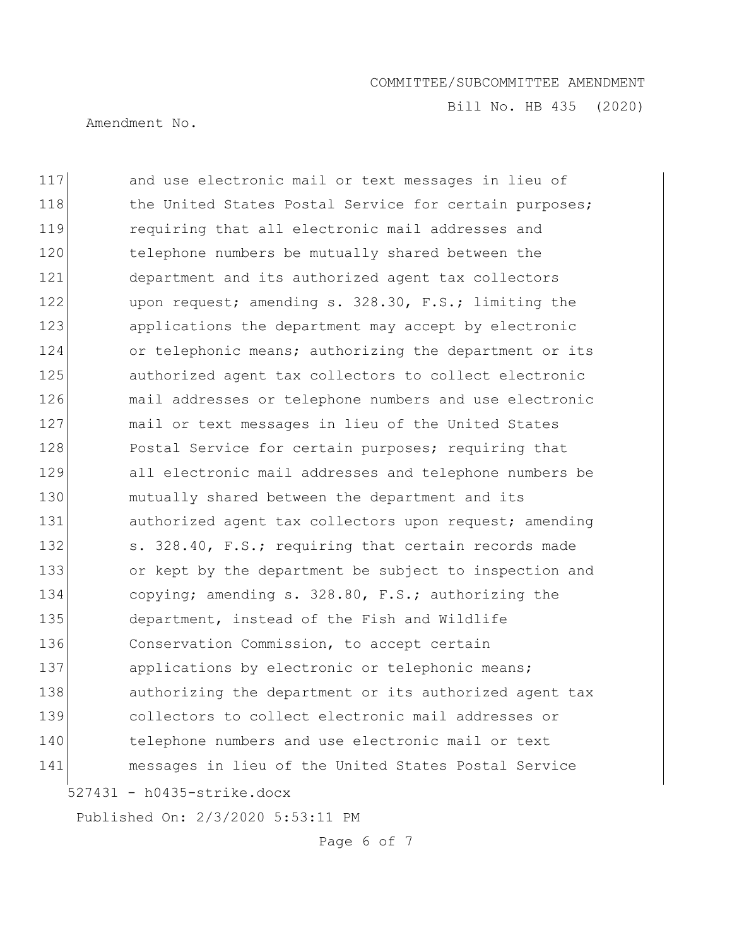Bill No. HB 435 (2020)

Amendment No.

527431 - h0435-strike.docx 117 and use electronic mail or text messages in lieu of 118 118 the United States Postal Service for certain purposes; 119 requiring that all electronic mail addresses and 120 telephone numbers be mutually shared between the 121 department and its authorized agent tax collectors 122 upon request; amending s. 328.30, F.S.; limiting the 123 applications the department may accept by electronic 124 or telephonic means; authorizing the department or its 125 authorized agent tax collectors to collect electronic 126 mail addresses or telephone numbers and use electronic 127 mail or text messages in lieu of the United States 128 Postal Service for certain purposes; requiring that 129 all electronic mail addresses and telephone numbers be 130 mutually shared between the department and its 131 authorized agent tax collectors upon request; amending 132 s. 328.40, F.S.; requiring that certain records made 133 or kept by the department be subject to inspection and 134 copying; amending s. 328.80, F.S.; authorizing the 135 department, instead of the Fish and Wildlife 136 Conservation Commission, to accept certain 137 applications by electronic or telephonic means; 138 authorizing the department or its authorized agent tax 139 collectors to collect electronic mail addresses or 140 telephone numbers and use electronic mail or text 141 messages in lieu of the United States Postal Service

Published On: 2/3/2020 5:53:11 PM

Page 6 of 7